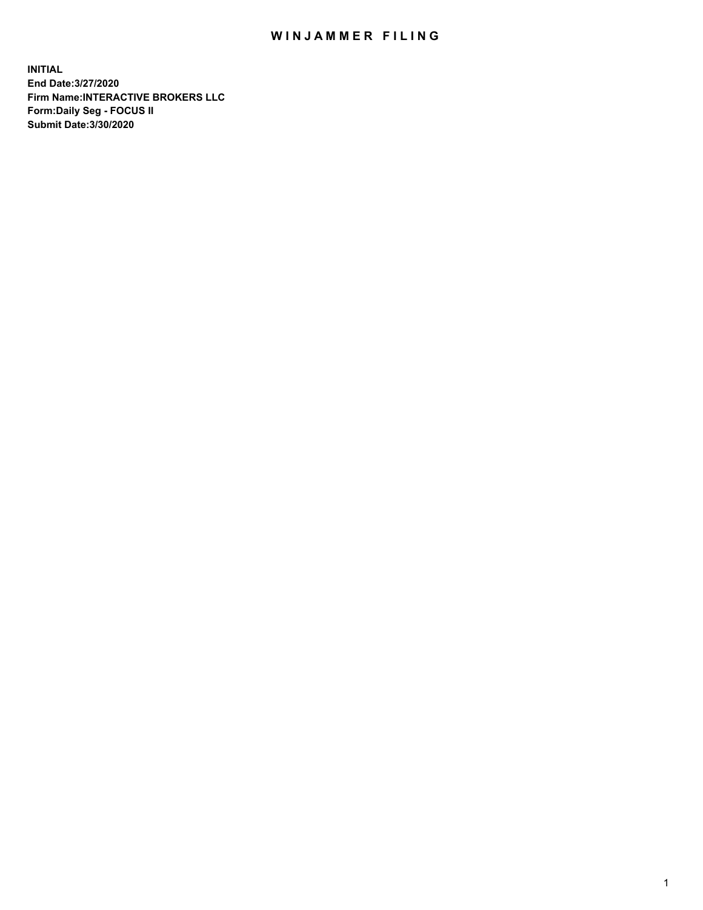## WIN JAMMER FILING

**INITIAL End Date:3/27/2020 Firm Name:INTERACTIVE BROKERS LLC Form:Daily Seg - FOCUS II Submit Date:3/30/2020**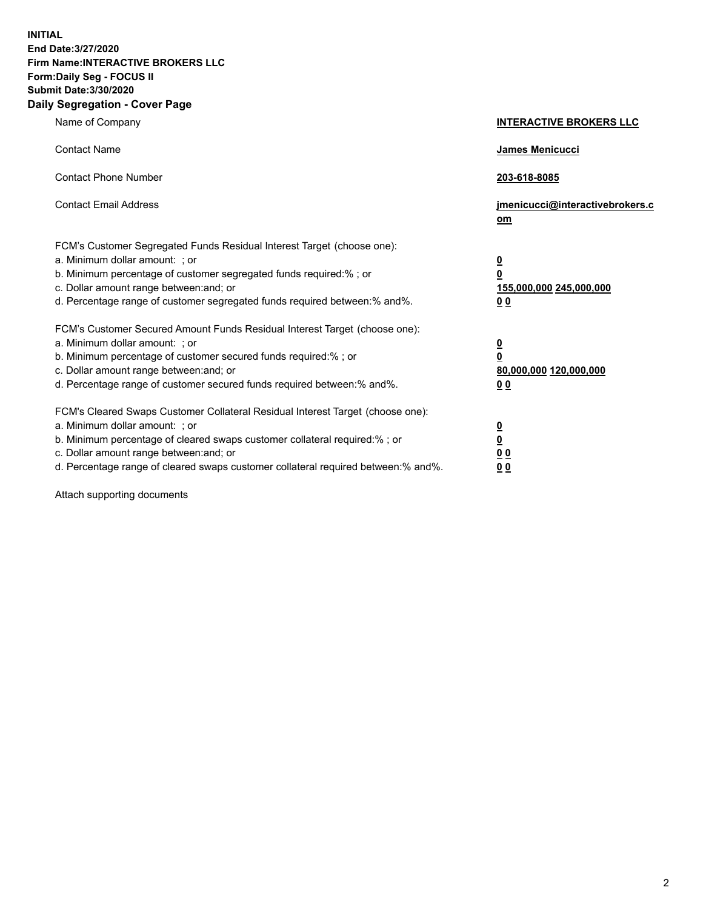**INITIAL End Date:3/27/2020 Firm Name:INTERACTIVE BROKERS LLC Form:Daily Seg - FOCUS II Submit Date:3/30/2020 Daily Segregation - Cover Page**

| Name of Company                                                                                                                                                                                                                                                                                                               | <b>INTERACTIVE BROKERS LLC</b>                                                                  |
|-------------------------------------------------------------------------------------------------------------------------------------------------------------------------------------------------------------------------------------------------------------------------------------------------------------------------------|-------------------------------------------------------------------------------------------------|
| <b>Contact Name</b>                                                                                                                                                                                                                                                                                                           | James Menicucci                                                                                 |
| <b>Contact Phone Number</b>                                                                                                                                                                                                                                                                                                   | 203-618-8085                                                                                    |
| <b>Contact Email Address</b>                                                                                                                                                                                                                                                                                                  | jmenicucci@interactivebrokers.c<br><u>om</u>                                                    |
| FCM's Customer Segregated Funds Residual Interest Target (choose one):<br>a. Minimum dollar amount: ; or<br>b. Minimum percentage of customer segregated funds required:% ; or<br>c. Dollar amount range between: and; or<br>d. Percentage range of customer segregated funds required between:% and%.                        | $\overline{\mathbf{0}}$<br>$\overline{\mathbf{0}}$<br>155,000,000 245,000,000<br>0 <sub>0</sub> |
| FCM's Customer Secured Amount Funds Residual Interest Target (choose one):<br>a. Minimum dollar amount: ; or<br>b. Minimum percentage of customer secured funds required:%; or<br>c. Dollar amount range between: and; or<br>d. Percentage range of customer secured funds required between:% and%.                           | $\overline{\mathbf{0}}$<br>$\overline{\mathbf{0}}$<br>80,000,000 120,000,000<br>0 <sub>0</sub>  |
| FCM's Cleared Swaps Customer Collateral Residual Interest Target (choose one):<br>a. Minimum dollar amount: ; or<br>b. Minimum percentage of cleared swaps customer collateral required:%; or<br>c. Dollar amount range between: and; or<br>d. Percentage range of cleared swaps customer collateral required between:% and%. | $\overline{\mathbf{0}}$<br>$\overline{\mathbf{0}}$<br>0 <sub>0</sub><br>0 <sub>0</sub>          |

Attach supporting documents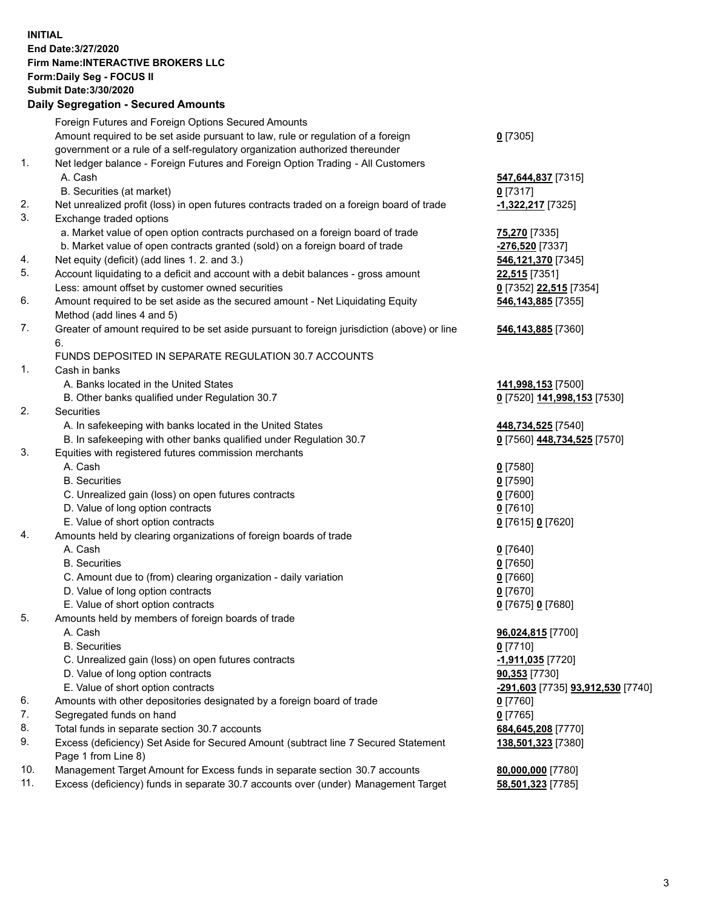**INITIAL End Date:3/27/2020 Firm Name:INTERACTIVE BROKERS LLC Form:Daily Seg - FOCUS II Submit Date:3/30/2020 Daily Segregation - Secured Amounts**

|     | Foreign Futures and Foreign Options Secured Amounts                                         |                                   |
|-----|---------------------------------------------------------------------------------------------|-----------------------------------|
|     | Amount required to be set aside pursuant to law, rule or regulation of a foreign            | $0$ [7305]                        |
|     | government or a rule of a self-regulatory organization authorized thereunder                |                                   |
| 1.  | Net ledger balance - Foreign Futures and Foreign Option Trading - All Customers             |                                   |
|     | A. Cash                                                                                     | 547,644,837 [7315]                |
|     | B. Securities (at market)                                                                   | $0$ [7317]                        |
| 2.  | Net unrealized profit (loss) in open futures contracts traded on a foreign board of trade   | -1,322,217 [7325]                 |
| 3.  | Exchange traded options                                                                     |                                   |
|     | a. Market value of open option contracts purchased on a foreign board of trade              | 75,270 [7335]                     |
|     | b. Market value of open contracts granted (sold) on a foreign board of trade                | -276,520 [7337]                   |
| 4.  | Net equity (deficit) (add lines 1. 2. and 3.)                                               | 546,121,370 [7345]                |
| 5.  | Account liquidating to a deficit and account with a debit balances - gross amount           | 22,515 [7351]                     |
|     | Less: amount offset by customer owned securities                                            | 0 [7352] 22,515 [7354]            |
| 6.  | Amount required to be set aside as the secured amount - Net Liquidating Equity              | 546,143,885 [7355]                |
|     | Method (add lines 4 and 5)                                                                  |                                   |
| 7.  | Greater of amount required to be set aside pursuant to foreign jurisdiction (above) or line | 546,143,885 [7360]                |
|     | 6.                                                                                          |                                   |
|     | FUNDS DEPOSITED IN SEPARATE REGULATION 30.7 ACCOUNTS                                        |                                   |
| 1.  | Cash in banks                                                                               |                                   |
|     | A. Banks located in the United States                                                       | 141,998,153 [7500]                |
|     | B. Other banks qualified under Regulation 30.7                                              | 0 [7520] 141,998,153 [7530]       |
| 2.  | <b>Securities</b>                                                                           |                                   |
|     | A. In safekeeping with banks located in the United States                                   | 448,734,525 [7540]                |
|     | B. In safekeeping with other banks qualified under Regulation 30.7                          | 0 [7560] 448,734,525 [7570]       |
| 3.  | Equities with registered futures commission merchants                                       |                                   |
|     | A. Cash                                                                                     | $0$ [7580]                        |
|     | <b>B.</b> Securities                                                                        | $0$ [7590]                        |
|     | C. Unrealized gain (loss) on open futures contracts                                         | $0$ [7600]                        |
|     | D. Value of long option contracts                                                           | $0$ [7610]                        |
|     | E. Value of short option contracts                                                          | 0 [7615] 0 [7620]                 |
| 4.  | Amounts held by clearing organizations of foreign boards of trade                           |                                   |
|     | A. Cash                                                                                     | $0$ [7640]                        |
|     | <b>B.</b> Securities                                                                        | $0$ [7650]                        |
|     | C. Amount due to (from) clearing organization - daily variation                             | $0$ [7660]                        |
|     | D. Value of long option contracts                                                           | $0$ [7670]                        |
|     | E. Value of short option contracts                                                          | 0 [7675] 0 [7680]                 |
| 5.  | Amounts held by members of foreign boards of trade                                          |                                   |
|     | A. Cash                                                                                     | 96,024,815 [7700]                 |
|     | <b>B.</b> Securities                                                                        | $0$ [7710]                        |
|     | C. Unrealized gain (loss) on open futures contracts                                         | -1,911,035 <sup>[7720]</sup>      |
|     | D. Value of long option contracts                                                           | 90,353 [7730]                     |
|     | E. Value of short option contracts                                                          | -291,603 [7735] 93,912,530 [7740] |
| 6.  | Amounts with other depositories designated by a foreign board of trade                      | $0$ [7760]                        |
| 7.  | Segregated funds on hand                                                                    | $0$ [7765]                        |
| 8.  | Total funds in separate section 30.7 accounts                                               | 684,645,208 [7770]                |
| 9.  | Excess (deficiency) Set Aside for Secured Amount (subtract line 7 Secured Statement         | 138,501,323 [7380]                |
|     | Page 1 from Line 8)                                                                         |                                   |
| 10. | Management Target Amount for Excess funds in separate section 30.7 accounts                 | 80,000,000 [7780]                 |
| 11. | Excess (deficiency) funds in separate 30.7 accounts over (under) Management Target          | 58,501,323 [7785]                 |
|     |                                                                                             |                                   |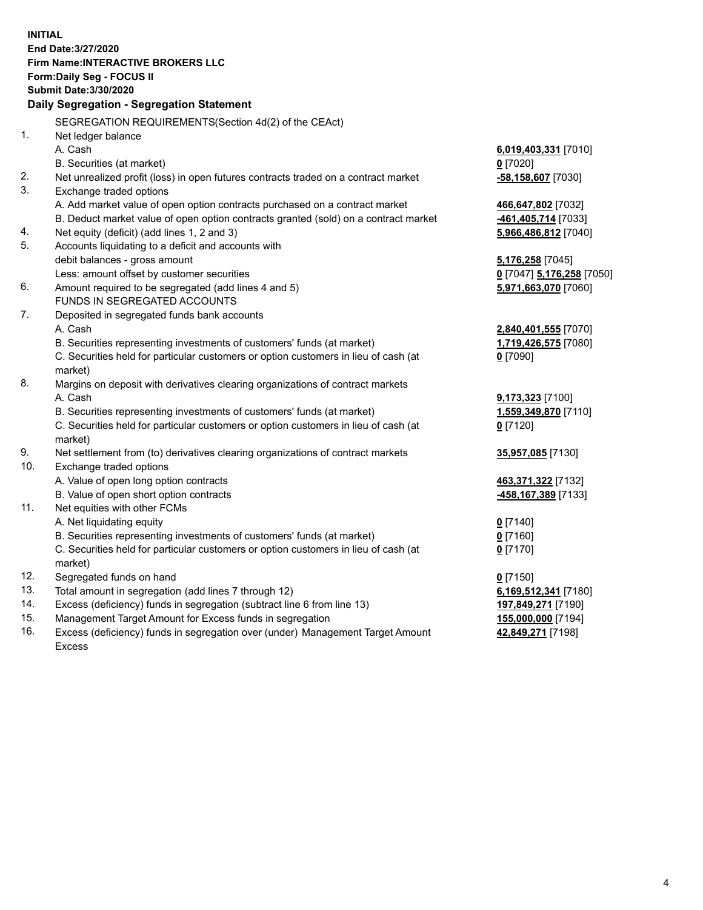**INITIAL End Date:3/27/2020 Firm Name:INTERACTIVE BROKERS LLC Form:Daily Seg - FOCUS II Submit Date:3/30/2020 Daily Segregation - Segregation Statement** SEGREGATION REQUIREMENTS(Section 4d(2) of the CEAct) 1. Net ledger balance A. Cash **6,019,403,331** [7010] B. Securities (at market) **0** [7020] 2. Net unrealized profit (loss) in open futures contracts traded on a contract market **-58,158,607** [7030] 3. Exchange traded options A. Add market value of open option contracts purchased on a contract market **466,647,802** [7032] B. Deduct market value of open option contracts granted (sold) on a contract market **-461,405,714** [7033] 4. Net equity (deficit) (add lines 1, 2 and 3) **5,966,486,812** [7040] 5. Accounts liquidating to a deficit and accounts with debit balances - gross amount **5,176,258** [7045] Less: amount offset by customer securities **0** [7047] **5,176,258** [7050] 6. Amount required to be segregated (add lines 4 and 5) **5,971,663,070** [7060] FUNDS IN SEGREGATED ACCOUNTS 7. Deposited in segregated funds bank accounts A. Cash **2,840,401,555** [7070] B. Securities representing investments of customers' funds (at market) **1,719,426,575** [7080] C. Securities held for particular customers or option customers in lieu of cash (at market) **0** [7090] 8. Margins on deposit with derivatives clearing organizations of contract markets A. Cash **9,173,323** [7100] B. Securities representing investments of customers' funds (at market) **1,559,349,870** [7110] C. Securities held for particular customers or option customers in lieu of cash (at market) **0** [7120] 9. Net settlement from (to) derivatives clearing organizations of contract markets **35,957,085** [7130] 10. Exchange traded options A. Value of open long option contracts **463,371,322** [7132] B. Value of open short option contracts **-458,167,389** [7133] 11. Net equities with other FCMs A. Net liquidating equity **0** [7140] B. Securities representing investments of customers' funds (at market) **0** [7160] C. Securities held for particular customers or option customers in lieu of cash (at market) **0** [7170] 12. Segregated funds on hand **0** [7150] 13. Total amount in segregation (add lines 7 through 12) **6,169,512,341** [7180] 14. Excess (deficiency) funds in segregation (subtract line 6 from line 13) **197,849,271** [7190] 15. Management Target Amount for Excess funds in segregation **155,000,000** [7194] 16. Excess (deficiency) funds in segregation over (under) Management Target Amount **42,849,271** [7198]

Excess